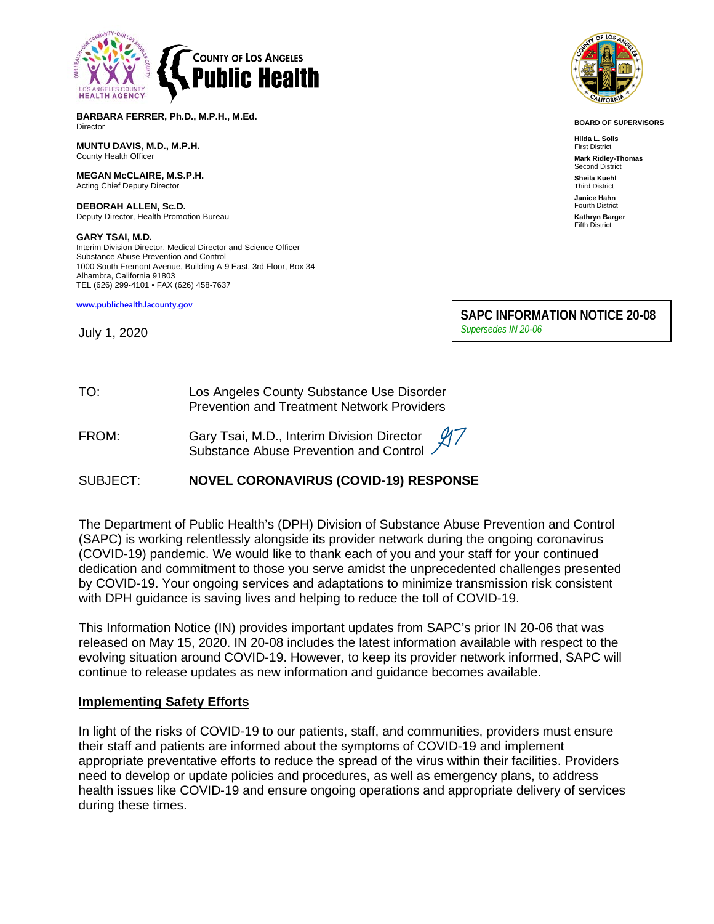

**BARBARA FERRER, Ph.D., M.P.H., M.Ed. Director** 

**MUNTU DAVIS, M.D., M.P.H.** County Health Officer

**MEGAN McCLAIRE, M.S.P.H.** Acting Chief Deputy Director

**DEBORAH ALLEN, Sc.D.** Deputy Director, Health Promotion Bureau

**GARY TSAI, M.D.** Interim Division Director, Medical Director and Science Officer Substance Abuse Prevention and Control 1000 South Fremont Avenue, Building A-9 East, 3rd Floor, Box 34 Alhambra, California 91803 TEL (626) 299-4101 • FAX (626) 458-7637

**[www.publichealth.lacounty.gov](http://www.publichealth.lacounty.gov/)**

July 1, 2020



**BOARD OF SUPERVISORS**

**Hilda L. Solis** First District **Mark Ridley-Thomas** Second District **Sheila Kuehl** Third District **Janice Hahn** Fourth District **Kathryn Barger** Fifth District

**SAPC INFORMATION NOTICE 20-08** *Supersedes IN 20-06*

# TO: Los Angeles County Substance Use Disorder Prevention and Treatment Network Providers

FROM: Gary Tsai, M.D., Interim Division Director Substance Abuse Prevention and Control

## SUBJECT: **NOVEL CORONAVIRUS (COVID-19) RESPONSE**

The Department of Public Health's (DPH) Division of Substance Abuse Prevention and Control (SAPC) is working relentlessly alongside its provider network during the ongoing coronavirus (COVID-19) pandemic. We would like to thank each of you and your staff for your continued dedication and commitment to those you serve amidst the unprecedented challenges presented by COVID-19. Your ongoing services and adaptations to minimize transmission risk consistent with DPH guidance is saving lives and helping to reduce the toll of COVID-19.

This Information Notice (IN) provides important updates from SAPC's prior IN 20-06 that was released on May 15, 2020. IN 20-08 includes the latest information available with respect to the evolving situation around COVID-19. However, to keep its provider network informed, SAPC will continue to release updates as new information and guidance becomes available.

## **Implementing Safety Efforts**

In light of the risks of COVID-19 to our patients, staff, and communities, providers must ensure their staff and patients are informed about the symptoms of COVID-19 and implement appropriate preventative efforts to reduce the spread of the virus within their facilities. Providers need to develop or update policies and procedures, as well as emergency plans, to address health issues like COVID-19 and ensure ongoing operations and appropriate delivery of services during these times.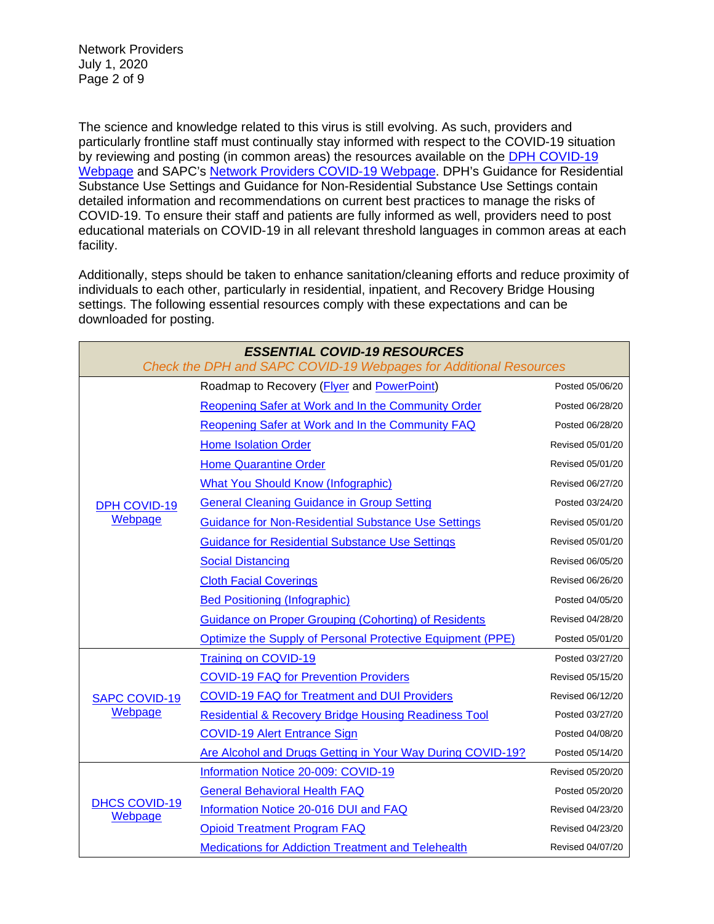Network Providers July 1, 2020 Page 2 of 9

The science and knowledge related to this virus is still evolving. As such, providers and particularly frontline staff must continually stay informed with respect to the COVID-19 situation by reviewing and posting (in common areas) the resources available on the [DPH COVID-19](http://publichealth.lacounty.gov/media/Coronavirus/)  [Webpage](http://publichealth.lacounty.gov/media/Coronavirus/) and SAPC's [Network Providers COVID-19 Webpage.](http://publichealth.lacounty.gov/sapc/providers/covid19/) DPH's Guidance for Residential Substance Use Settings and Guidance for Non-Residential Substance Use Settings contain detailed information and recommendations on current best practices to manage the risks of COVID-19. To ensure their staff and patients are fully informed as well, providers need to post educational materials on COVID-19 in all relevant threshold languages in common areas at each facility.

Additionally, steps should be taken to enhance sanitation/cleaning efforts and reduce proximity of individuals to each other, particularly in residential, inpatient, and Recovery Bridge Housing settings. The following essential resources comply with these expectations and can be downloaded for posting.

| <b>ESSENTIAL COVID-19 RESOURCES</b><br>Check the DPH and SAPC COVID-19 Webpages for Additional Resources |                                                                 |                  |
|----------------------------------------------------------------------------------------------------------|-----------------------------------------------------------------|------------------|
| <b>DPH COVID-19</b><br>Webpage                                                                           | Roadmap to Recovery (Flyer and PowerPoint)                      | Posted 05/06/20  |
|                                                                                                          | Reopening Safer at Work and In the Community Order              | Posted 06/28/20  |
|                                                                                                          | Reopening Safer at Work and In the Community FAQ                | Posted 06/28/20  |
|                                                                                                          | <b>Home Isolation Order</b>                                     | Revised 05/01/20 |
|                                                                                                          | <b>Home Quarantine Order</b>                                    | Revised 05/01/20 |
|                                                                                                          | <b>What You Should Know (Infographic)</b>                       | Revised 06/27/20 |
|                                                                                                          | <b>General Cleaning Guidance in Group Setting</b>               | Posted 03/24/20  |
|                                                                                                          | <b>Guidance for Non-Residential Substance Use Settings</b>      | Revised 05/01/20 |
|                                                                                                          | <b>Guidance for Residential Substance Use Settings</b>          | Revised 05/01/20 |
|                                                                                                          | <b>Social Distancing</b>                                        | Revised 06/05/20 |
|                                                                                                          | <b>Cloth Facial Coverings</b>                                   | Revised 06/26/20 |
|                                                                                                          | <b>Bed Positioning (Infographic)</b>                            | Posted 04/05/20  |
|                                                                                                          | <b>Guidance on Proper Grouping (Cohorting) of Residents</b>     | Revised 04/28/20 |
|                                                                                                          | Optimize the Supply of Personal Protective Equipment (PPE)      | Posted 05/01/20  |
| <b>SAPC COVID-19</b><br>Webpage                                                                          | <b>Training on COVID-19</b>                                     | Posted 03/27/20  |
|                                                                                                          | <b>COVID-19 FAQ for Prevention Providers</b>                    | Revised 05/15/20 |
|                                                                                                          | <b>COVID-19 FAQ for Treatment and DUI Providers</b>             | Revised 06/12/20 |
|                                                                                                          | <b>Residential &amp; Recovery Bridge Housing Readiness Tool</b> | Posted 03/27/20  |
|                                                                                                          | <b>COVID-19 Alert Entrance Sign</b>                             | Posted 04/08/20  |
|                                                                                                          | Are Alcohol and Drugs Getting in Your Way During COVID-19?      | Posted 05/14/20  |
| <b>DHCS COVID-19</b><br>Webpage                                                                          | Information Notice 20-009: COVID-19                             | Revised 05/20/20 |
|                                                                                                          | <b>General Behavioral Health FAQ</b>                            | Posted 05/20/20  |
|                                                                                                          | Information Notice 20-016 DUI and FAQ                           | Revised 04/23/20 |
|                                                                                                          | <b>Opioid Treatment Program FAQ</b>                             | Revised 04/23/20 |
|                                                                                                          | <b>Medications for Addiction Treatment and Telehealth</b>       | Revised 04/07/20 |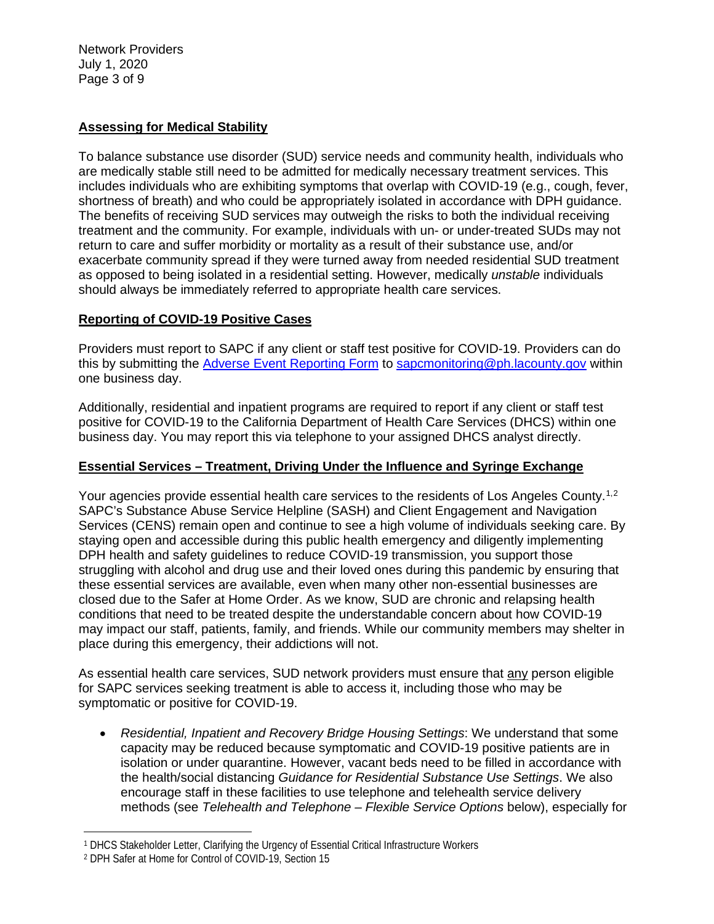Network Providers July 1, 2020 Page 3 of 9

# **Assessing for Medical Stability**

To balance substance use disorder (SUD) service needs and community health, individuals who are medically stable still need to be admitted for medically necessary treatment services. This includes individuals who are exhibiting symptoms that overlap with COVID-19 (e.g., cough, fever, shortness of breath) and who could be appropriately isolated in accordance with DPH guidance. The benefits of receiving SUD services may outweigh the risks to both the individual receiving treatment and the community. For example, individuals with un- or under-treated SUDs may not return to care and suffer morbidity or mortality as a result of their substance use, and/or exacerbate community spread if they were turned away from needed residential SUD treatment as opposed to being isolated in a residential setting. However, medically *unstable* individuals should always be immediately referred to appropriate health care services.

## **Reporting of COVID-19 Positive Cases**

Providers must report to SAPC if any client or staff test positive for COVID-19. Providers can do this by submitting the [Adverse Event Reporting Form](http://publichealth.lacounty.gov/sapc/NetworkProviders/ClinicalForms/AQI/AdverseEventReportingForm.pdf) to [sapcmonitoring@ph.lacounty.gov](mailto:sapcmonitoring@ph.lacounty.gov) within one business day.

Additionally, residential and inpatient programs are required to report if any client or staff test positive for COVID-19 to the California Department of Health Care Services (DHCS) within one business day. You may report this via telephone to your assigned DHCS analyst directly.

## **Essential Services – Treatment, Driving Under the Influence and Syringe Exchange**

Your agencies provide essential health care services to the residents of Los Angeles County.<sup>[1,](#page-2-0)[2](#page-2-1)</sup> SAPC's Substance Abuse Service Helpline (SASH) and Client Engagement and Navigation Services (CENS) remain open and continue to see a high volume of individuals seeking care. By staying open and accessible during this public health emergency and diligently implementing DPH health and safety guidelines to reduce COVID-19 transmission, you support those struggling with alcohol and drug use and their loved ones during this pandemic by ensuring that these essential services are available, even when many other non-essential businesses are closed due to the Safer at Home Order. As we know, SUD are chronic and relapsing health conditions that need to be treated despite the understandable concern about how COVID-19 may impact our staff, patients, family, and friends. While our community members may shelter in place during this emergency, their addictions will not.

As essential health care services, SUD network providers must ensure that any person eligible for SAPC services seeking treatment is able to access it, including those who may be symptomatic or positive for COVID-19.

• *Residential, Inpatient and Recovery Bridge Housing Settings*: We understand that some capacity may be reduced because symptomatic and COVID-19 positive patients are in isolation or under quarantine. However, vacant beds need to be filled in accordance with the health/social distancing *Guidance for Residential Substance Use Settings*. We also encourage staff in these facilities to use telephone and telehealth service delivery methods (see *Telehealth and Telephone – Flexible Service Options* below), especially for

<span id="page-2-0"></span><sup>1</sup> DHCS Stakeholder Letter, Clarifying the Urgency of Essential Critical Infrastructure Workers

<span id="page-2-1"></span><sup>2</sup> DPH Safer at Home for Control of COVID-19, Section 15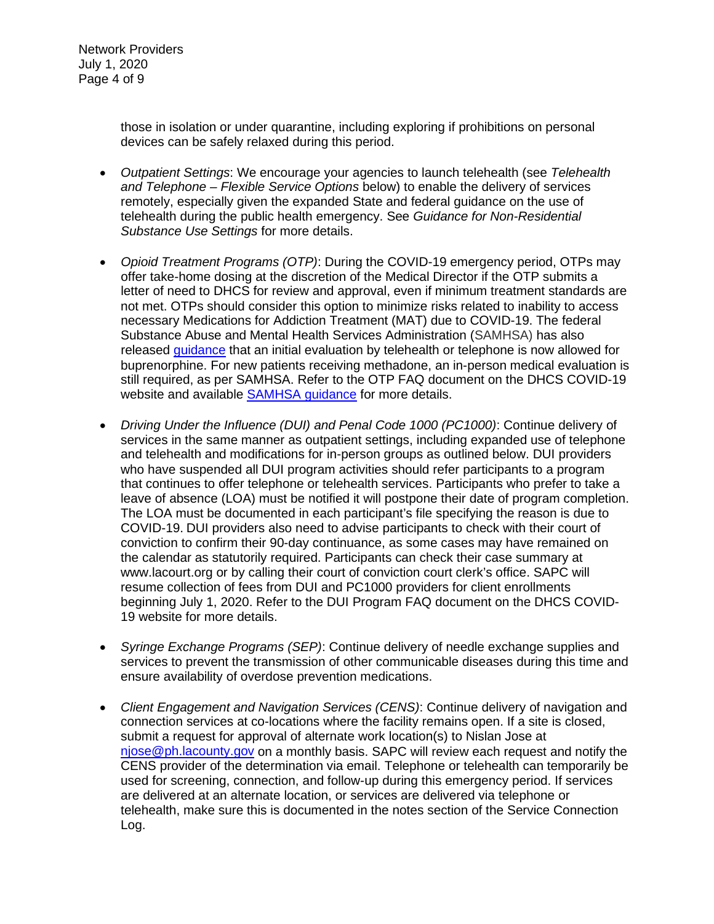Network Providers July 1, 2020 Page 4 of 9

> those in isolation or under quarantine, including exploring if prohibitions on personal devices can be safely relaxed during this period.

- *Outpatient Settings*: We encourage your agencies to launch telehealth (see *Telehealth and Telephone – Flexible Service Options* below) to enable the delivery of services remotely, especially given the expanded State and federal guidance on the use of telehealth during the public health emergency. See *Guidance for Non-Residential Substance Use Settings* for more details.
- *Opioid Treatment Programs (OTP)*: During the COVID-19 emergency period, OTPs may offer take-home dosing at the discretion of the Medical Director if the OTP submits a letter of need to DHCS for review and approval, even if minimum treatment standards are not met. OTPs should consider this option to minimize risks related to inability to access necessary Medications for Addiction Treatment (MAT) due to COVID-19. The federal Substance Abuse and Mental Health Services Administration (SAMHSA) has also released [guidance](https://www.samhsa.gov/sites/default/files/faqs-for-oud-prescribing-and-dispensing.pdf) that an initial evaluation by telehealth or telephone is now allowed for buprenorphine. For new patients receiving methadone, an in-person medical evaluation is still required, as per SAMHSA. Refer to the OTP FAQ document on the DHCS COVID-19 website and available [SAMHSA guidance](https://www.samhsa.gov/sites/default/files/faqs-for-oud-prescribing-and-dispensing.pdf) for more details.
- *Driving Under the Influence (DUI) and Penal Code 1000 (PC1000)*: Continue delivery of services in the same manner as outpatient settings, including expanded use of telephone and telehealth and modifications for in-person groups as outlined below. DUI providers who have suspended all DUI program activities should refer participants to a program that continues to offer telephone or telehealth services. Participants who prefer to take a leave of absence (LOA) must be notified it will postpone their date of program completion. The LOA must be documented in each participant's file specifying the reason is due to COVID-19. DUI providers also need to advise participants to check with their court of conviction to confirm their 90-day continuance, as some cases may have remained on the calendar as statutorily required. Participants can check their case summary at www.lacourt.org or by calling their court of conviction court clerk's office. SAPC will resume collection of fees from DUI and PC1000 providers for client enrollments beginning July 1, 2020. Refer to the DUI Program FAQ document on the DHCS COVID-19 website for more details.
- *Syringe Exchange Programs (SEP)*: Continue delivery of needle exchange supplies and services to prevent the transmission of other communicable diseases during this time and ensure availability of overdose prevention medications.
- *Client Engagement and Navigation Services (CENS)*: Continue delivery of navigation and connection services at co-locations where the facility remains open. If a site is closed, submit a request for approval of alternate work location(s) to Nislan Jose at [njose@ph.lacounty.gov](mailto:njose@ph.lacounty.gov) on a monthly basis. SAPC will review each request and notify the CENS provider of the determination via email. Telephone or telehealth can temporarily be used for screening, connection, and follow-up during this emergency period. If services are delivered at an alternate location, or services are delivered via telephone or telehealth, make sure this is documented in the notes section of the Service Connection Log.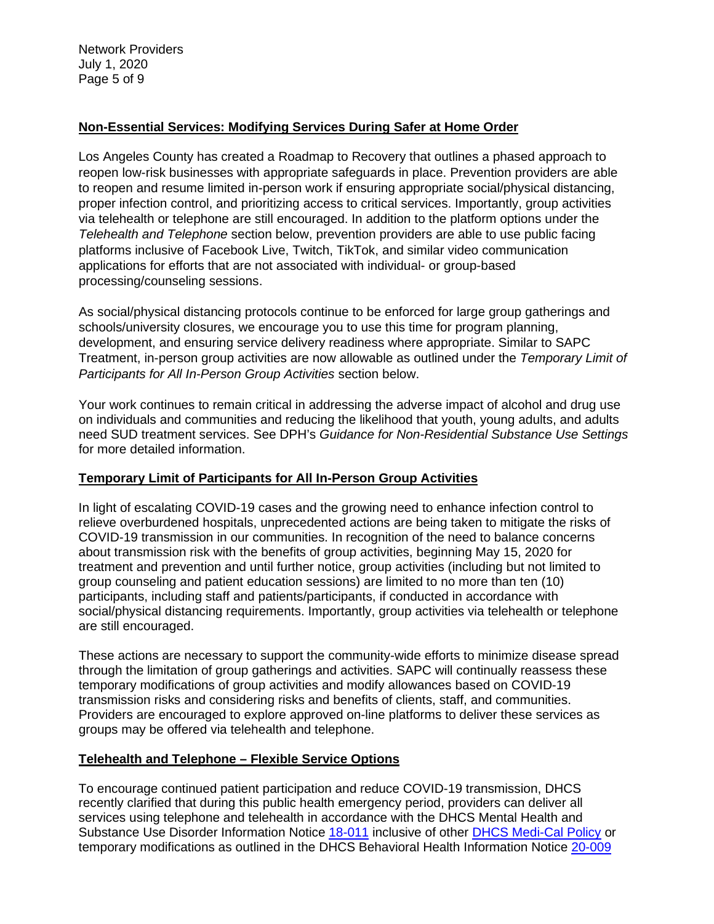Network Providers July 1, 2020 Page 5 of 9

## **Non-Essential Services: Modifying Services During Safer at Home Order**

Los Angeles County has created a Roadmap to Recovery that outlines a phased approach to reopen low-risk businesses with appropriate safeguards in place. Prevention providers are able to reopen and resume limited in-person work if ensuring appropriate social/physical distancing, proper infection control, and prioritizing access to critical services. Importantly, group activities via telehealth or telephone are still encouraged. In addition to the platform options under the *Telehealth and Telephone* section below, prevention providers are able to use public facing platforms inclusive of Facebook Live, Twitch, TikTok, and similar video communication applications for efforts that are not associated with individual- or group-based processing/counseling sessions.

As social/physical distancing protocols continue to be enforced for large group gatherings and schools/university closures, we encourage you to use this time for program planning, development, and ensuring service delivery readiness where appropriate. Similar to SAPC Treatment, in-person group activities are now allowable as outlined under the *Temporary Limit of Participants for All In-Person Group Activities* section below.

Your work continues to remain critical in addressing the adverse impact of alcohol and drug use on individuals and communities and reducing the likelihood that youth, young adults, and adults need SUD treatment services. See DPH's *Guidance for Non-Residential Substance Use Settings* for more detailed information.

## **Temporary Limit of Participants for All In-Person Group Activities**

In light of escalating COVID-19 cases and the growing need to enhance infection control to relieve overburdened hospitals, unprecedented actions are being taken to mitigate the risks of COVID-19 transmission in our communities. In recognition of the need to balance concerns about transmission risk with the benefits of group activities, beginning May 15, 2020 for treatment and prevention and until further notice, group activities (including but not limited to group counseling and patient education sessions) are limited to no more than ten (10) participants, including staff and patients/participants, if conducted in accordance with social/physical distancing requirements. Importantly, group activities via telehealth or telephone are still encouraged.

These actions are necessary to support the community-wide efforts to minimize disease spread through the limitation of group gatherings and activities. SAPC will continually reassess these temporary modifications of group activities and modify allowances based on COVID-19 transmission risks and considering risks and benefits of clients, staff, and communities. Providers are encouraged to explore approved on-line platforms to deliver these services as groups may be offered via telehealth and telephone.

## **Telehealth and Telephone – Flexible Service Options**

To encourage continued patient participation and reduce COVID-19 transmission, DHCS recently clarified that during this public health emergency period, providers can deliver all services using telephone and telehealth in accordance with the DHCS Mental Health and Substance Use Disorder Information Notice [18-011](https://www.dhcs.ca.gov/services/MH/Documents/Information%20Notices/IN%2018-%20Network%20Adequacy/MHSUDS_IN_18-011_Network_Adequacy.pdf) inclusive of other [DHCS Medi-Cal Policy](https://www.dhcs.ca.gov/provgovpart/Pages/Telehealth.aspx) or temporary modifications as outlined in the DHCS Behavioral Health Information Notice [20-009](https://www.dhcs.ca.gov/Documents/COVID-19/IN-20-009-Guidance-on-COVID-19-for-Behavioral-Health.pdf)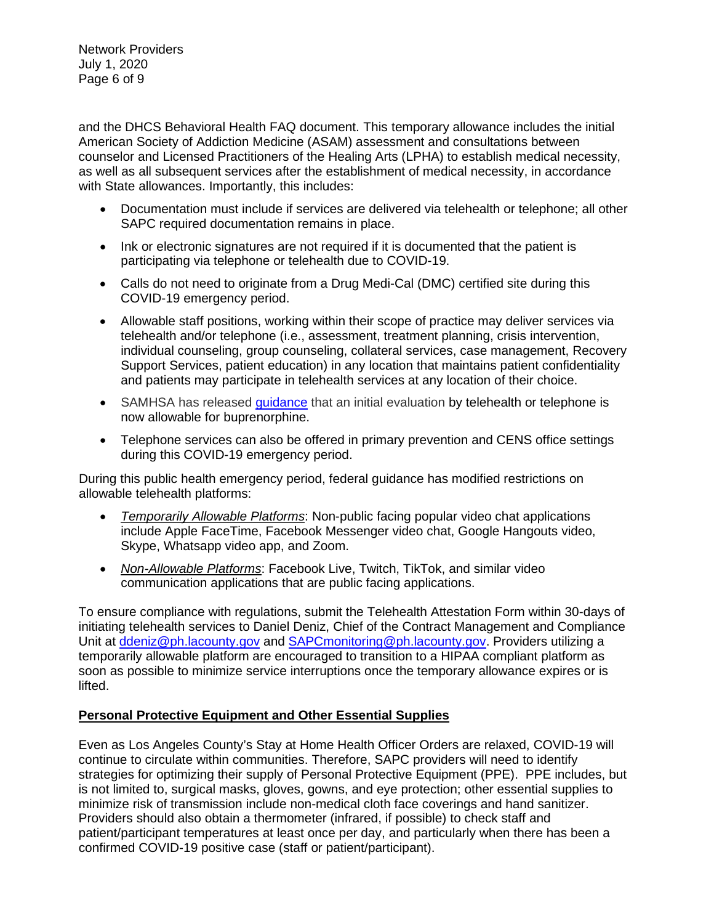Network Providers July 1, 2020 Page 6 of 9

and the DHCS Behavioral Health FAQ document. This temporary allowance includes the initial American Society of Addiction Medicine (ASAM) assessment and consultations between counselor and Licensed Practitioners of the Healing Arts (LPHA) to establish medical necessity, as well as all subsequent services after the establishment of medical necessity, in accordance with State allowances. Importantly, this includes:

- Documentation must include if services are delivered via telehealth or telephone; all other SAPC required documentation remains in place.
- Ink or electronic signatures are not required if it is documented that the patient is participating via telephone or telehealth due to COVID-19.
- Calls do not need to originate from a Drug Medi-Cal (DMC) certified site during this COVID-19 emergency period.
- Allowable staff positions, working within their scope of practice may deliver services via telehealth and/or telephone (i.e., assessment, treatment planning, crisis intervention, individual counseling, group counseling, collateral services, case management, Recovery Support Services, patient education) in any location that maintains patient confidentiality and patients may participate in telehealth services at any location of their choice.
- SAMHSA has released quidance that an initial evaluation by telehealth or telephone is now allowable for buprenorphine.
- Telephone services can also be offered in primary prevention and CENS office settings during this COVID-19 emergency period.

During this public health emergency period, federal guidance has modified restrictions on allowable telehealth platforms:

- *Temporarily Allowable Platforms*: Non-public facing popular video chat applications include Apple FaceTime, Facebook Messenger video chat, Google Hangouts video, Skype, Whatsapp video app, and Zoom.
- *Non-Allowable Platforms*: Facebook Live, Twitch, TikTok, and similar video communication applications that are public facing applications.

To ensure compliance with regulations, submit the Telehealth Attestation Form within 30-days of initiating telehealth services to Daniel Deniz, Chief of the Contract Management and Compliance Unit at [ddeniz@ph.lacounty.gov](mailto:ddeniz@ph.lacounty.gov) and [SAPCmonitoring@ph.lacounty.gov.](mailto:sapcmonitoring@ph.lacounty.gov) Providers utilizing a temporarily allowable platform are encouraged to transition to a HIPAA compliant platform as soon as possible to minimize service interruptions once the temporary allowance expires or is lifted.

# **Personal Protective Equipment and Other Essential Supplies**

Even as Los Angeles County's Stay at Home Health Officer Orders are relaxed, COVID-19 will continue to circulate within communities. Therefore, SAPC providers will need to identify strategies for optimizing their supply of Personal Protective Equipment (PPE). PPE includes, but is not limited to, surgical masks, gloves, gowns, and eye protection; other essential supplies to minimize risk of transmission include non-medical cloth face coverings and hand sanitizer. Providers should also obtain a thermometer (infrared, if possible) to check staff and patient/participant temperatures at least once per day, and particularly when there has been a confirmed COVID-19 positive case (staff or patient/participant).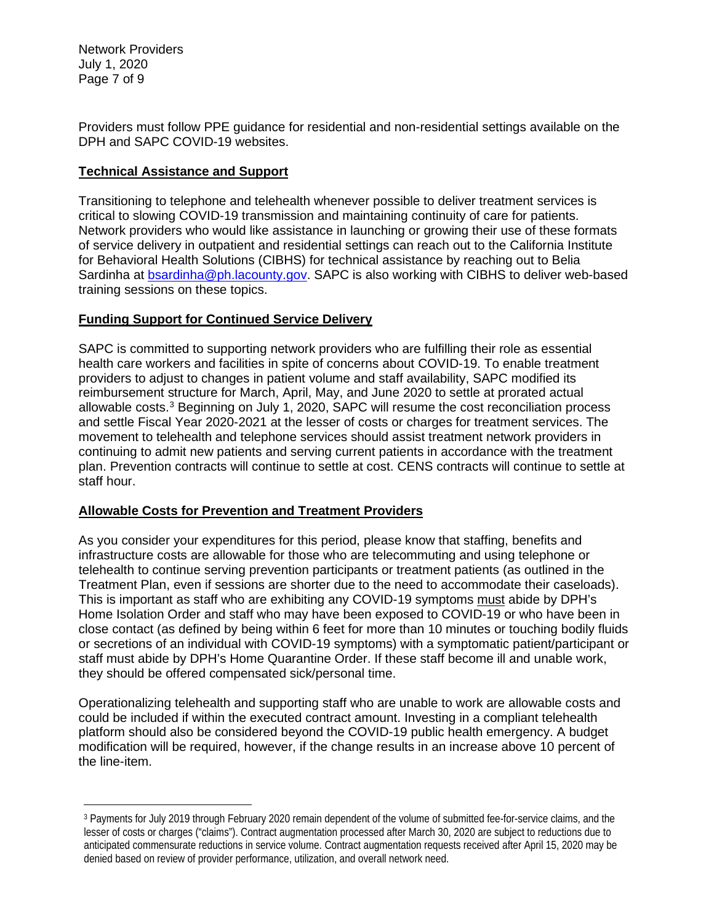Network Providers July 1, 2020 Page 7 of 9

Providers must follow PPE guidance for residential and non-residential settings available on the DPH and SAPC COVID-19 websites.

# **Technical Assistance and Support**

Transitioning to telephone and telehealth whenever possible to deliver treatment services is critical to slowing COVID-19 transmission and maintaining continuity of care for patients. Network providers who would like assistance in launching or growing their use of these formats of service delivery in outpatient and residential settings can reach out to the California Institute for Behavioral Health Solutions (CIBHS) for technical assistance by reaching out to Belia Sardinha at [bsardinha@ph.lacounty.gov.](mailto:bsardinha@ph.lacounty.gov) SAPC is also working with CIBHS to deliver web-based training sessions on these topics.

# **Funding Support for Continued Service Delivery**

SAPC is committed to supporting network providers who are fulfilling their role as essential health care workers and facilities in spite of concerns about COVID-19. To enable treatment providers to adjust to changes in patient volume and staff availability, SAPC modified its reimbursement structure for March, April, May, and June 2020 to settle at prorated actual allowable costs. [3](#page-6-0) Beginning on July 1, 2020, SAPC will resume the cost reconciliation process and settle Fiscal Year 2020-2021 at the lesser of costs or charges for treatment services. The movement to telehealth and telephone services should assist treatment network providers in continuing to admit new patients and serving current patients in accordance with the treatment plan. Prevention contracts will continue to settle at cost. CENS contracts will continue to settle at staff hour.

## **Allowable Costs for Prevention and Treatment Providers**

As you consider your expenditures for this period, please know that staffing, benefits and infrastructure costs are allowable for those who are telecommuting and using telephone or telehealth to continue serving prevention participants or treatment patients (as outlined in the Treatment Plan, even if sessions are shorter due to the need to accommodate their caseloads). This is important as staff who are exhibiting any COVID-19 symptoms must abide by DPH's Home Isolation Order and staff who may have been exposed to COVID-19 or who have been in close contact (as defined by being within 6 feet for more than 10 minutes or touching bodily fluids or secretions of an individual with COVID-19 symptoms) with a symptomatic patient/participant or staff must abide by DPH's Home Quarantine Order. If these staff become ill and unable work, they should be offered compensated sick/personal time.

Operationalizing telehealth and supporting staff who are unable to work are allowable costs and could be included if within the executed contract amount. Investing in a compliant telehealth platform should also be considered beyond the COVID-19 public health emergency. A budget modification will be required, however, if the change results in an increase above 10 percent of the line-item.

<span id="page-6-0"></span><sup>3</sup> Payments for July 2019 through February 2020 remain dependent of the volume of submitted fee-for-service claims, and the lesser of costs or charges ("claims"). Contract augmentation processed after March 30, 2020 are subject to reductions due to anticipated commensurate reductions in service volume. Contract augmentation requests received after April 15, 2020 may be denied based on review of provider performance, utilization, and overall network need.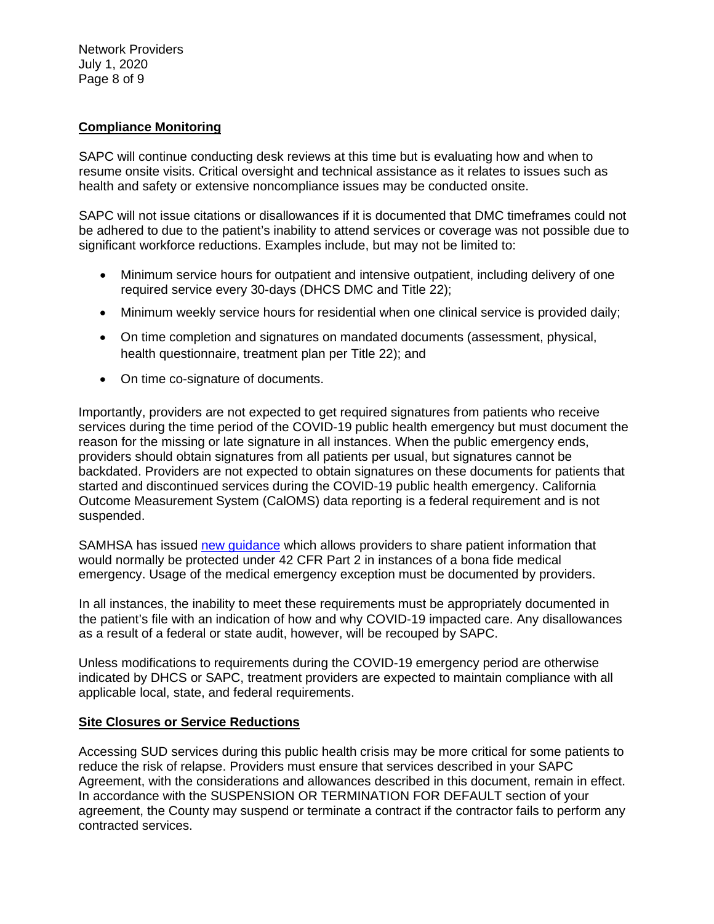Network Providers July 1, 2020 Page 8 of 9

### **Compliance Monitoring**

SAPC will continue conducting desk reviews at this time but is evaluating how and when to resume onsite visits. Critical oversight and technical assistance as it relates to issues such as health and safety or extensive noncompliance issues may be conducted onsite.

SAPC will not issue citations or disallowances if it is documented that DMC timeframes could not be adhered to due to the patient's inability to attend services or coverage was not possible due to significant workforce reductions. Examples include, but may not be limited to:

- Minimum service hours for outpatient and intensive outpatient, including delivery of one required service every 30-days (DHCS DMC and Title 22);
- Minimum weekly service hours for residential when one clinical service is provided daily;
- On time completion and signatures on mandated documents (assessment, physical, health questionnaire, treatment plan per Title 22); and
- On time co-signature of documents.

Importantly, providers are not expected to get required signatures from patients who receive services during the time period of the COVID-19 public health emergency but must document the reason for the missing or late signature in all instances. When the public emergency ends, providers should obtain signatures from all patients per usual, but signatures cannot be backdated. Providers are not expected to obtain signatures on these documents for patients that started and discontinued services during the COVID-19 public health emergency. California Outcome Measurement System (CalOMS) data reporting is a federal requirement and is not suspended.

SAMHSA has issued [new guidance](https://www.samhsa.gov/sites/default/files/covid-19-42-cfr-part-2-guidance-03192020.pdf) which allows providers to share patient information that would normally be protected under 42 CFR Part 2 in instances of a bona fide medical emergency. Usage of the medical emergency exception must be documented by providers.

In all instances, the inability to meet these requirements must be appropriately documented in the patient's file with an indication of how and why COVID-19 impacted care. Any disallowances as a result of a federal or state audit, however, will be recouped by SAPC.

Unless modifications to requirements during the COVID-19 emergency period are otherwise indicated by DHCS or SAPC, treatment providers are expected to maintain compliance with all applicable local, state, and federal requirements.

#### **Site Closures or Service Reductions**

Accessing SUD services during this public health crisis may be more critical for some patients to reduce the risk of relapse. Providers must ensure that services described in your SAPC Agreement, with the considerations and allowances described in this document, remain in effect. In accordance with the SUSPENSION OR TERMINATION FOR DEFAULT section of your agreement, the County may suspend or terminate a contract if the contractor fails to perform any contracted services.